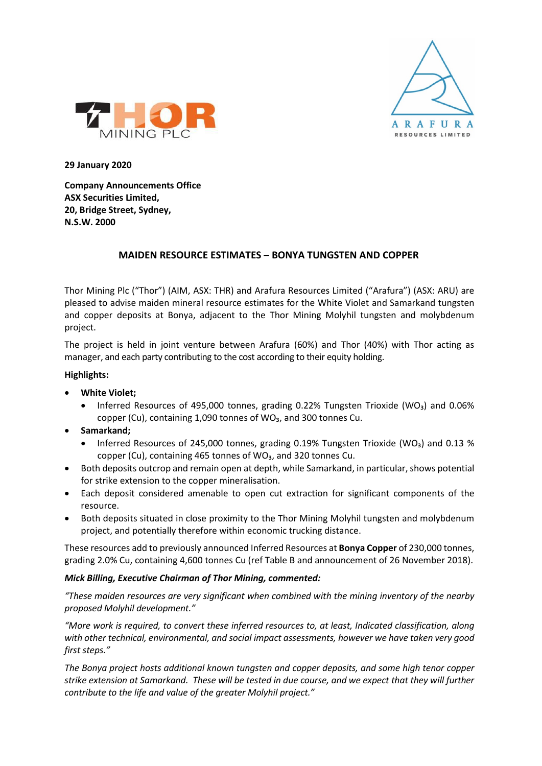



**29 January 2020**

**Company Announcements Office ASX Securities Limited, 20, Bridge Street, Sydney, N.S.W. 2000**

## **MAIDEN RESOURCE ESTIMATES – BONYA TUNGSTEN AND COPPER**

Thor Mining Plc ("Thor") (AIM, ASX: THR) and Arafura Resources Limited ("Arafura") (ASX: ARU) are pleased to advise maiden mineral resource estimates for the White Violet and Samarkand tungsten and copper deposits at Bonya, adjacent to the Thor Mining Molyhil tungsten and molybdenum project.

The project is held in joint venture between Arafura (60%) and Thor (40%) with Thor acting as manager, and each party contributing to the cost according to their equity holding.

## **Highlights:**

- **White Violet;**
	- Inferred Resources of 495,000 tonnes, grading 0.22% Tungsten Trioxide (WO<sub>3</sub>) and 0.06% copper (Cu), containing 1,090 tonnes of WO<sub>3</sub>, and 300 tonnes Cu.
- **Samarkand;**
	- Inferred Resources of 245,000 tonnes, grading 0.19% Tungsten Trioxide (WO<sub>3</sub>) and 0.13 % copper (Cu), containing 465 tonnes of WO<sub>3</sub>, and 320 tonnes Cu.
- Both deposits outcrop and remain open at depth, while Samarkand, in particular, shows potential for strike extension to the copper mineralisation.
- Each deposit considered amenable to open cut extraction for significant components of the resource.
- Both deposits situated in close proximity to the Thor Mining Molyhil tungsten and molybdenum project, and potentially therefore within economic trucking distance.

These resources add to previously announced Inferred Resources at **Bonya Copper** of 230,000 tonnes, grading 2.0% Cu, containing 4,600 tonnes Cu (ref Table B and announcement of 26 November 2018).

### *Mick Billing, Executive Chairman of Thor Mining, commented:*

*"These maiden resources are very significant when combined with the mining inventory of the nearby proposed Molyhil development."*

*"More work is required, to convert these inferred resources to, at least, Indicated classification, along with other technical, environmental, and social impact assessments, however we have taken very good first steps."* 

*The Bonya project hosts additional known tungsten and copper deposits, and some high tenor copper strike extension at Samarkand. These will be tested in due course, and we expect that they will further contribute to the life and value of the greater Molyhil project."*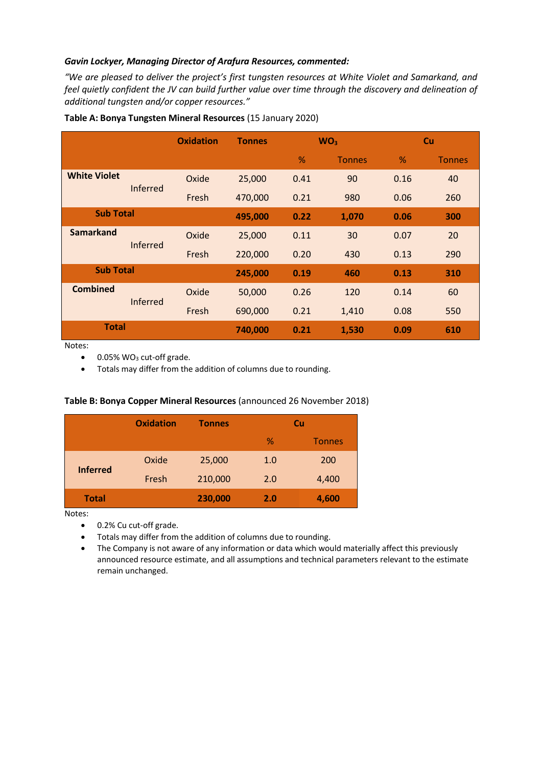## *Gavin Lockyer, Managing Director of Arafura Resources, commented:*

*"We are pleased to deliver the project's first tungsten resources at White Violet and Samarkand, and feel quietly confident the JV can build further value over time through the discovery and delineation of additional tungsten and/or copper resources."*

|                     |                 | <b>Oxidation</b> | <b>Tonnes</b> |               | WO <sub>3</sub> |      | <b>Cu</b>     |
|---------------------|-----------------|------------------|---------------|---------------|-----------------|------|---------------|
|                     |                 |                  |               | $\frac{9}{6}$ | <b>Tonnes</b>   | $\%$ | <b>Tonnes</b> |
| <b>White Violet</b> |                 | Oxide            | 25,000        | 0.41          | 90              | 0.16 | 40            |
|                     | <b>Inferred</b> | Fresh            | 470,000       | 0.21          | 980             | 0.06 | 260           |
| <b>Sub Total</b>    |                 |                  | 495,000       | 0.22          | 1,070           | 0.06 | 300           |
| <b>Samarkand</b>    |                 | Oxide            | 25,000        | 0.11          | 30              | 0.07 | 20            |
|                     | <b>Inferred</b> | Fresh            | 220,000       | 0.20          | 430             | 0.13 | 290           |
| <b>Sub Total</b>    |                 |                  | 245,000       | 0.19          | 460             | 0.13 | 310           |
| <b>Combined</b>     | <b>Inferred</b> | Oxide            | 50,000        | 0.26          | 120             | 0.14 | 60            |
|                     |                 | Fresh            | 690,000       | 0.21          | 1,410           | 0.08 | 550           |
| <b>Total</b>        |                 |                  | 740,000       | 0.21          | 1,530           | 0.09 | 610           |

#### **Table A: Bonya Tungsten Mineral Resources** (15 January 2020)

Notes:

• Totals may differ from the addition of columns due to rounding.

### **Table B: Bonya Copper Mineral Resources** (announced 26 November 2018)

|                 | <b>Oxidation</b> | <b>Tonnes</b> |     | Cu            |
|-----------------|------------------|---------------|-----|---------------|
|                 |                  |               | %   | <b>Tonnes</b> |
| <b>Inferred</b> | Oxide            | 25,000        | 1.0 | 200           |
|                 | Fresh            | 210,000       | 2.0 | 4,400         |
| <b>Total</b>    |                  | 230,000       | 2.0 | 4,600         |

Notes:

- 0.2% Cu cut-off grade.
- Totals may differ from the addition of columns due to rounding.
- The Company is not aware of any information or data which would materially affect this previously announced resource estimate, and all assumptions and technical parameters relevant to the estimate remain unchanged.

<sup>• 0.05%</sup> WO<sub>3</sub> cut-off grade.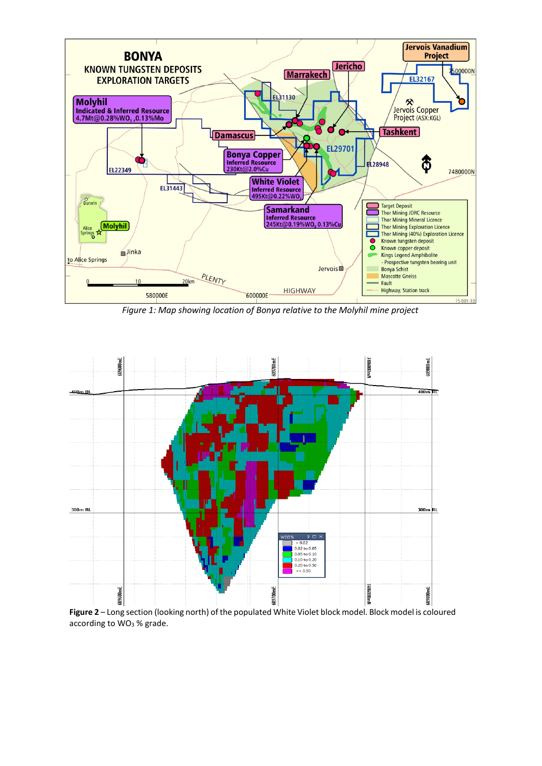

*Figure 1: Map showing location of Bonya relative to the Molyhil mine project*



**Figure 2** – Long section (looking north) of the populated White Violet block model. Block model is coloured according to WO<sub>3</sub> % grade.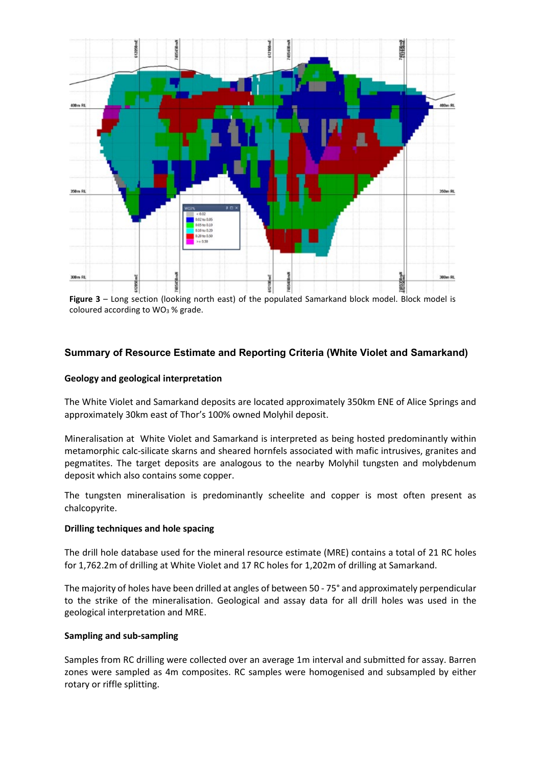

**Figure 3** – Long section (looking north east) of the populated Samarkand block model. Block model is coloured according to WO<sub>3</sub> % grade.

## **Summary of Resource Estimate and Reporting Criteria (White Violet and Samarkand)**

#### **Geology and geological interpretation**

The White Violet and Samarkand deposits are located approximately 350km ENE of Alice Springs and approximately 30km east of Thor's 100% owned Molyhil deposit.

Mineralisation at White Violet and Samarkand is interpreted as being hosted predominantly within metamorphic calc-silicate skarns and sheared hornfels associated with mafic intrusives, granites and pegmatites. The target deposits are analogous to the nearby Molyhil tungsten and molybdenum deposit which also contains some copper.

The tungsten mineralisation is predominantly scheelite and copper is most often present as chalcopyrite.

#### **Drilling techniques and hole spacing**

The drill hole database used for the mineral resource estimate (MRE) contains a total of 21 RC holes for 1,762.2m of drilling at White Violet and 17 RC holes for 1,202m of drilling at Samarkand.

The majority of holes have been drilled at angles of between 50 - 75° and approximately perpendicular to the strike of the mineralisation. Geological and assay data for all drill holes was used in the geological interpretation and MRE.

#### **Sampling and sub-sampling**

Samples from RC drilling were collected over an average 1m interval and submitted for assay. Barren zones were sampled as 4m composites. RC samples were homogenised and subsampled by either rotary or riffle splitting.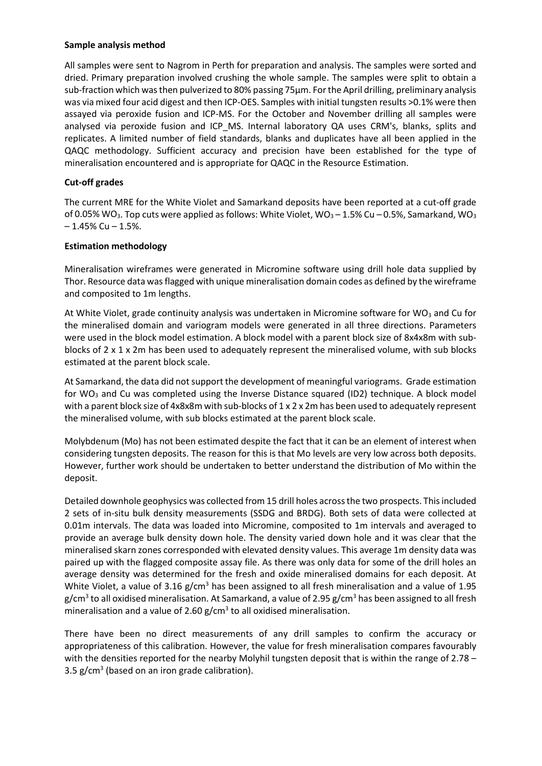#### **Sample analysis method**

All samples were sent to Nagrom in Perth for preparation and analysis. The samples were sorted and dried. Primary preparation involved crushing the whole sample. The samples were split to obtain a sub-fraction which was then pulverized to 80% passing 75µm. For the April drilling, preliminary analysis was via mixed four acid digest and then ICP-OES. Samples with initial tungsten results >0.1% were then assayed via peroxide fusion and ICP-MS. For the October and November drilling all samples were analysed via peroxide fusion and ICP\_MS. Internal laboratory QA uses CRM's, blanks, splits and replicates. A limited number of field standards, blanks and duplicates have all been applied in the QAQC methodology. Sufficient accuracy and precision have been established for the type of mineralisation encountered and is appropriate for QAQC in the Resource Estimation.

### **Cut-off grades**

The current MRE for the White Violet and Samarkand deposits have been reported at a cut-off grade of 0.05% WO<sub>3</sub>. Top cuts were applied as follows: White Violet, WO<sub>3</sub> – 1.5% Cu – 0.5%, Samarkand, WO<sub>3</sub>  $-1.45\%$  Cu  $-1.5\%$ .

### **Estimation methodology**

Mineralisation wireframes were generated in Micromine software using drill hole data supplied by Thor. Resource data was flagged with unique mineralisation domain codes as defined by the wireframe and composited to 1m lengths.

At White Violet, grade continuity analysis was undertaken in Micromine software for WO<sub>3</sub> and Cu for the mineralised domain and variogram models were generated in all three directions. Parameters were used in the block model estimation. A block model with a parent block size of 8x4x8m with subblocks of 2 x 1 x 2m has been used to adequately represent the mineralised volume, with sub blocks estimated at the parent block scale.

At Samarkand, the data did not support the development of meaningful variograms. Grade estimation for WO<sub>3</sub> and Cu was completed using the Inverse Distance squared (ID2) technique. A block model with a parent block size of 4x8x8m with sub-blocks of 1 x 2 x 2m has been used to adequately represent the mineralised volume, with sub blocks estimated at the parent block scale.

Molybdenum (Mo) has not been estimated despite the fact that it can be an element of interest when considering tungsten deposits. The reason for this is that Mo levels are very low across both deposits. However, further work should be undertaken to better understand the distribution of Mo within the deposit.

Detailed downhole geophysics was collected from 15 drill holes across the two prospects. This included 2 sets of in-situ bulk density measurements (SSDG and BRDG). Both sets of data were collected at 0.01m intervals. The data was loaded into Micromine, composited to 1m intervals and averaged to provide an average bulk density down hole. The density varied down hole and it was clear that the mineralised skarn zones corresponded with elevated density values. This average 1m density data was paired up with the flagged composite assay file. As there was only data for some of the drill holes an average density was determined for the fresh and oxide mineralised domains for each deposit. At White Violet, a value of 3.16  $g/cm<sup>3</sup>$  has been assigned to all fresh mineralisation and a value of 1.95 g/cm<sup>3</sup> to all oxidised mineralisation. At Samarkand, a value of 2.95 g/cm<sup>3</sup> has been assigned to all fresh mineralisation and a value of 2.60  $g/cm<sup>3</sup>$  to all oxidised mineralisation.

There have been no direct measurements of any drill samples to confirm the accuracy or appropriateness of this calibration. However, the value for fresh mineralisation compares favourably with the densities reported for the nearby Molyhil tungsten deposit that is within the range of 2.78 – 3.5  $g/cm<sup>3</sup>$  (based on an iron grade calibration).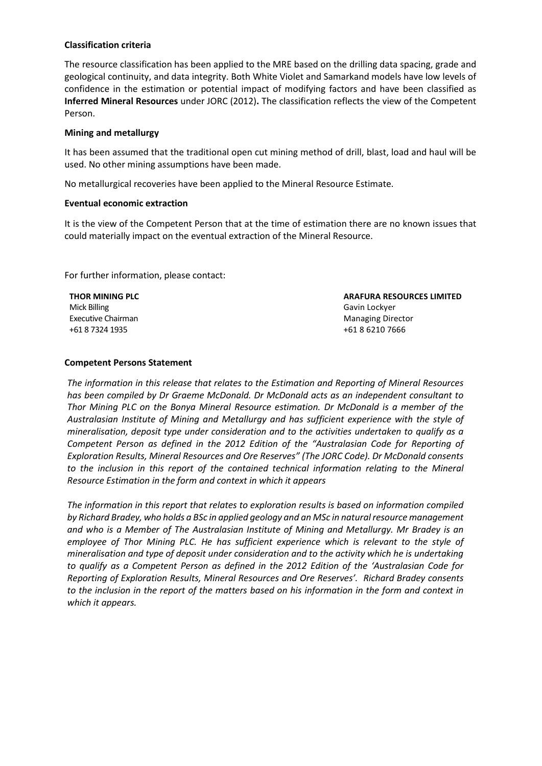### **Classification criteria**

The resource classification has been applied to the MRE based on the drilling data spacing, grade and geological continuity, and data integrity. Both White Violet and Samarkand models have low levels of confidence in the estimation or potential impact of modifying factors and have been classified as **Inferred Mineral Resources** under JORC (2012)**.** The classification reflects the view of the Competent Person.

### **Mining and metallurgy**

It has been assumed that the traditional open cut mining method of drill, blast, load and haul will be used. No other mining assumptions have been made.

No metallurgical recoveries have been applied to the Mineral Resource Estimate.

#### **Eventual economic extraction**

It is the view of the Competent Person that at the time of estimation there are no known issues that could materially impact on the eventual extraction of the Mineral Resource.

For further information, please contact:

| THOR MINING PLC    | <b>ARAFURA RESOURCES LIMITED</b> |
|--------------------|----------------------------------|
| Mick Billing       | Gavin Lockyer                    |
| Executive Chairman | Managing Director                |
| +61 8 7324 1935    | +61 8 6210 7666                  |

#### **Competent Persons Statement**

*The information in this release that relates to the Estimation and Reporting of Mineral Resources has been compiled by Dr Graeme McDonald. Dr McDonald acts as an independent consultant to Thor Mining PLC on the Bonya Mineral Resource estimation. Dr McDonald is a member of the Australasian Institute of Mining and Metallurgy and has sufficient experience with the style of mineralisation, deposit type under consideration and to the activities undertaken to qualify as a Competent Person as defined in the 2012 Edition of the "Australasian Code for Reporting of Exploration Results, Mineral Resources and Ore Reserves" (The JORC Code). Dr McDonald consents*  to the inclusion in this report of the contained technical information relating to the Mineral *Resource Estimation in the form and context in which it appears*

*The information in this report that relates to exploration results is based on information compiled by Richard Bradey, who holds a BSc in applied geology and an MSc in natural resource management and who is a Member of The Australasian Institute of Mining and Metallurgy. Mr Bradey is an*  employee of Thor Mining PLC. He has sufficient experience which is relevant to the style of *mineralisation and type of deposit under consideration and to the activity which he is undertaking to qualify as a Competent Person as defined in the 2012 Edition of the 'Australasian Code for Reporting of Exploration Results, Mineral Resources and Ore Reserves'. Richard Bradey consents to the inclusion in the report of the matters based on his information in the form and context in which it appears.*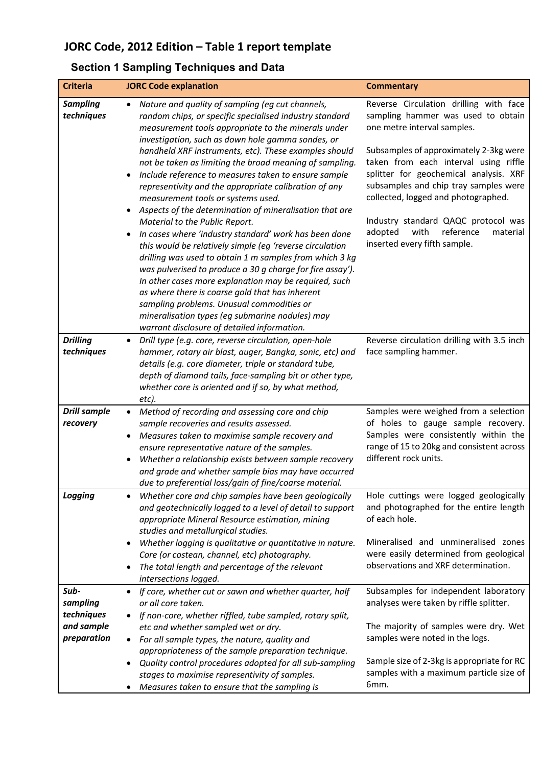# **JORC Code, 2012 Edition – Table 1 report template**

# **Section 1 Sampling Techniques and Data**

| <b>Criteria</b>               | <b>JORC Code explanation</b>                                                                                                                                                                                                                                                                                                                                                                                                                                                                                                                                                                                                                                                                                                                                                                                                                                                                                                                                                                                                                                                                                         | <b>Commentary</b>                                                                                                                                                                                                                                                                                                                                                                                                                           |
|-------------------------------|----------------------------------------------------------------------------------------------------------------------------------------------------------------------------------------------------------------------------------------------------------------------------------------------------------------------------------------------------------------------------------------------------------------------------------------------------------------------------------------------------------------------------------------------------------------------------------------------------------------------------------------------------------------------------------------------------------------------------------------------------------------------------------------------------------------------------------------------------------------------------------------------------------------------------------------------------------------------------------------------------------------------------------------------------------------------------------------------------------------------|---------------------------------------------------------------------------------------------------------------------------------------------------------------------------------------------------------------------------------------------------------------------------------------------------------------------------------------------------------------------------------------------------------------------------------------------|
| <b>Sampling</b><br>techniques | Nature and quality of sampling (eg cut channels,<br>$\bullet$<br>random chips, or specific specialised industry standard<br>measurement tools appropriate to the minerals under<br>investigation, such as down hole gamma sondes, or<br>handheld XRF instruments, etc). These examples should<br>not be taken as limiting the broad meaning of sampling.<br>Include reference to measures taken to ensure sample<br>representivity and the appropriate calibration of any<br>measurement tools or systems used.<br>Aspects of the determination of mineralisation that are<br>Material to the Public Report.<br>In cases where 'industry standard' work has been done<br>this would be relatively simple (eg 'reverse circulation<br>drilling was used to obtain 1 m samples from which 3 kg<br>was pulverised to produce a 30 g charge for fire assay').<br>In other cases more explanation may be required, such<br>as where there is coarse gold that has inherent<br>sampling problems. Unusual commodities or<br>mineralisation types (eg submarine nodules) may<br>warrant disclosure of detailed information. | Reverse Circulation drilling with face<br>sampling hammer was used to obtain<br>one metre interval samples.<br>Subsamples of approximately 2-3kg were<br>taken from each interval using riffle<br>splitter for geochemical analysis. XRF<br>subsamples and chip tray samples were<br>collected, logged and photographed.<br>Industry standard QAQC protocol was<br>reference<br>adopted<br>with<br>material<br>inserted every fifth sample. |
| <b>Drilling</b><br>techniques | Drill type (e.g. core, reverse circulation, open-hole<br>hammer, rotary air blast, auger, Bangka, sonic, etc) and<br>details (e.g. core diameter, triple or standard tube,<br>depth of diamond tails, face-sampling bit or other type,<br>whether core is oriented and if so, by what method,<br>etc).                                                                                                                                                                                                                                                                                                                                                                                                                                                                                                                                                                                                                                                                                                                                                                                                               | Reverse circulation drilling with 3.5 inch<br>face sampling hammer.                                                                                                                                                                                                                                                                                                                                                                         |
| <b>Drill sample</b>           | Method of recording and assessing core and chip                                                                                                                                                                                                                                                                                                                                                                                                                                                                                                                                                                                                                                                                                                                                                                                                                                                                                                                                                                                                                                                                      | Samples were weighed from a selection                                                                                                                                                                                                                                                                                                                                                                                                       |
| recovery                      | sample recoveries and results assessed.<br>Measures taken to maximise sample recovery and<br>$\bullet$<br>ensure representative nature of the samples.<br>Whether a relationship exists between sample recovery<br>and grade and whether sample bias may have occurred<br>due to preferential loss/gain of fine/coarse material.                                                                                                                                                                                                                                                                                                                                                                                                                                                                                                                                                                                                                                                                                                                                                                                     | of holes to gauge sample recovery.<br>Samples were consistently within the<br>range of 15 to 20kg and consistent across<br>different rock units.                                                                                                                                                                                                                                                                                            |
| Logging                       | Whether core and chip samples have been geologically<br>$\bullet$<br>and geotechnically logged to a level of detail to support<br>appropriate Mineral Resource estimation, mining<br>studies and metallurgical studies.<br>Whether logging is qualitative or quantitative in nature.<br>Core (or costean, channel, etc) photography.<br>The total length and percentage of the relevant<br>intersections logged.                                                                                                                                                                                                                                                                                                                                                                                                                                                                                                                                                                                                                                                                                                     | Hole cuttings were logged geologically<br>and photographed for the entire length<br>of each hole.<br>Mineralised and unmineralised zones<br>were easily determined from geological<br>observations and XRF determination.                                                                                                                                                                                                                   |
| Sub-                          | If core, whether cut or sawn and whether quarter, half                                                                                                                                                                                                                                                                                                                                                                                                                                                                                                                                                                                                                                                                                                                                                                                                                                                                                                                                                                                                                                                               | Subsamples for independent laboratory                                                                                                                                                                                                                                                                                                                                                                                                       |
| sampling                      | or all core taken.                                                                                                                                                                                                                                                                                                                                                                                                                                                                                                                                                                                                                                                                                                                                                                                                                                                                                                                                                                                                                                                                                                   | analyses were taken by riffle splitter.                                                                                                                                                                                                                                                                                                                                                                                                     |
| techniques                    | If non-core, whether riffled, tube sampled, rotary split,                                                                                                                                                                                                                                                                                                                                                                                                                                                                                                                                                                                                                                                                                                                                                                                                                                                                                                                                                                                                                                                            |                                                                                                                                                                                                                                                                                                                                                                                                                                             |
| and sample                    | etc and whether sampled wet or dry.                                                                                                                                                                                                                                                                                                                                                                                                                                                                                                                                                                                                                                                                                                                                                                                                                                                                                                                                                                                                                                                                                  | The majority of samples were dry. Wet                                                                                                                                                                                                                                                                                                                                                                                                       |
| preparation                   | For all sample types, the nature, quality and                                                                                                                                                                                                                                                                                                                                                                                                                                                                                                                                                                                                                                                                                                                                                                                                                                                                                                                                                                                                                                                                        | samples were noted in the logs.                                                                                                                                                                                                                                                                                                                                                                                                             |
|                               | appropriateness of the sample preparation technique.<br>Quality control procedures adopted for all sub-sampling<br>٠                                                                                                                                                                                                                                                                                                                                                                                                                                                                                                                                                                                                                                                                                                                                                                                                                                                                                                                                                                                                 | Sample size of 2-3kg is appropriate for RC<br>samples with a maximum particle size of                                                                                                                                                                                                                                                                                                                                                       |
|                               | stages to maximise representivity of samples.<br>Measures taken to ensure that the sampling is                                                                                                                                                                                                                                                                                                                                                                                                                                                                                                                                                                                                                                                                                                                                                                                                                                                                                                                                                                                                                       | 6mm.                                                                                                                                                                                                                                                                                                                                                                                                                                        |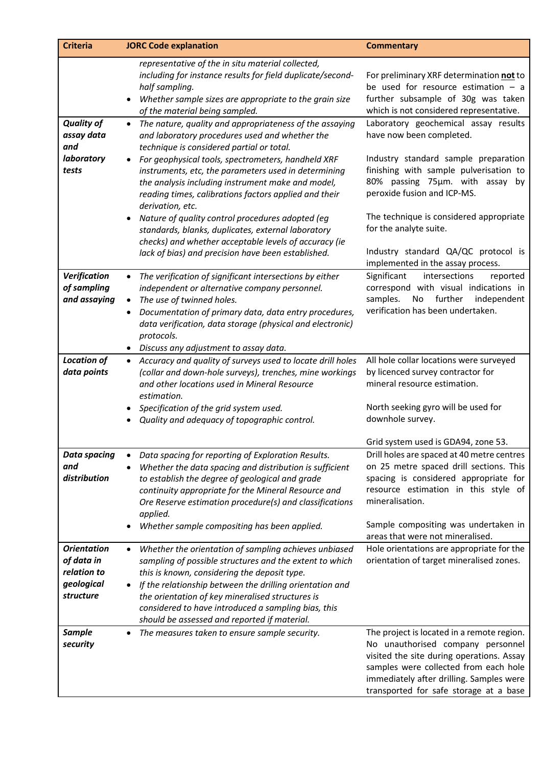| <b>Criteria</b>                                                            | <b>JORC Code explanation</b>                                                                                                                                                                                                                                                                                                                                                                         | <b>Commentary</b>                                                                                                                                                                                                                                           |
|----------------------------------------------------------------------------|------------------------------------------------------------------------------------------------------------------------------------------------------------------------------------------------------------------------------------------------------------------------------------------------------------------------------------------------------------------------------------------------------|-------------------------------------------------------------------------------------------------------------------------------------------------------------------------------------------------------------------------------------------------------------|
|                                                                            | representative of the in situ material collected,<br>including for instance results for field duplicate/second-<br>half sampling.<br>Whether sample sizes are appropriate to the grain size<br>of the material being sampled.                                                                                                                                                                        | For preliminary XRF determination not to<br>be used for resource estimation $-$ a<br>further subsample of 30g was taken<br>which is not considered representative.                                                                                          |
| <b>Quality of</b><br>assay data<br>and                                     | The nature, quality and appropriateness of the assaying<br>$\bullet$<br>and laboratory procedures used and whether the<br>technique is considered partial or total.                                                                                                                                                                                                                                  | Laboratory geochemical assay results<br>have now been completed.                                                                                                                                                                                            |
| laboratory<br>tests                                                        | For geophysical tools, spectrometers, handheld XRF<br>instruments, etc, the parameters used in determining<br>the analysis including instrument make and model,<br>reading times, calibrations factors applied and their<br>derivation, etc.<br>Nature of quality control procedures adopted (eg                                                                                                     | Industry standard sample preparation<br>finishing with sample pulverisation to<br>80% passing 75µm. with assay by<br>peroxide fusion and ICP-MS.<br>The technique is considered appropriate                                                                 |
|                                                                            | standards, blanks, duplicates, external laboratory<br>checks) and whether acceptable levels of accuracy (ie<br>lack of bias) and precision have been established.                                                                                                                                                                                                                                    | for the analyte suite.<br>Industry standard QA/QC protocol is                                                                                                                                                                                               |
|                                                                            |                                                                                                                                                                                                                                                                                                                                                                                                      | implemented in the assay process.                                                                                                                                                                                                                           |
| Verification<br>of sampling<br>and assaying                                | The verification of significant intersections by either<br>$\bullet$<br>independent or alternative company personnel.<br>The use of twinned holes.<br>Documentation of primary data, data entry procedures,<br>$\bullet$<br>data verification, data storage (physical and electronic)<br>protocols.                                                                                                  | Significant<br>intersections<br>reported<br>correspond with visual indications in<br>samples.<br>No<br>further<br>independent<br>verification has been undertaken.                                                                                          |
|                                                                            | • Discuss any adjustment to assay data.                                                                                                                                                                                                                                                                                                                                                              |                                                                                                                                                                                                                                                             |
| <b>Location of</b><br>data points                                          | Accuracy and quality of surveys used to locate drill holes<br>$\bullet$<br>(collar and down-hole surveys), trenches, mine workings<br>and other locations used in Mineral Resource<br>estimation.                                                                                                                                                                                                    | All hole collar locations were surveyed<br>by licenced survey contractor for<br>mineral resource estimation.                                                                                                                                                |
|                                                                            | Specification of the grid system used.<br>Quality and adequacy of topographic control.                                                                                                                                                                                                                                                                                                               | North seeking gyro will be used for<br>downhole survey.                                                                                                                                                                                                     |
|                                                                            |                                                                                                                                                                                                                                                                                                                                                                                                      | Grid system used is GDA94, zone 53.                                                                                                                                                                                                                         |
| Data spacing<br>and                                                        | Data spacing for reporting of Exploration Results.<br>Whether the data spacing and distribution is sufficient                                                                                                                                                                                                                                                                                        | Drill holes are spaced at 40 metre centres<br>on 25 metre spaced drill sections. This                                                                                                                                                                       |
| distribution                                                               | to establish the degree of geological and grade                                                                                                                                                                                                                                                                                                                                                      | spacing is considered appropriate for                                                                                                                                                                                                                       |
|                                                                            | continuity appropriate for the Mineral Resource and<br>Ore Reserve estimation procedure(s) and classifications<br>applied.                                                                                                                                                                                                                                                                           | resource estimation in this style of<br>mineralisation.                                                                                                                                                                                                     |
|                                                                            | Whether sample compositing has been applied.                                                                                                                                                                                                                                                                                                                                                         | Sample compositing was undertaken in<br>areas that were not mineralised.                                                                                                                                                                                    |
| <b>Orientation</b><br>of data in<br>relation to<br>geological<br>structure | Whether the orientation of sampling achieves unbiased<br>$\bullet$<br>sampling of possible structures and the extent to which<br>this is known, considering the deposit type.<br>If the relationship between the drilling orientation and<br>the orientation of key mineralised structures is<br>considered to have introduced a sampling bias, this<br>should be assessed and reported if material. | Hole orientations are appropriate for the<br>orientation of target mineralised zones.                                                                                                                                                                       |
| <b>Sample</b><br>security                                                  | The measures taken to ensure sample security.                                                                                                                                                                                                                                                                                                                                                        | The project is located in a remote region.<br>No unauthorised company personnel<br>visited the site during operations. Assay<br>samples were collected from each hole<br>immediately after drilling. Samples were<br>transported for safe storage at a base |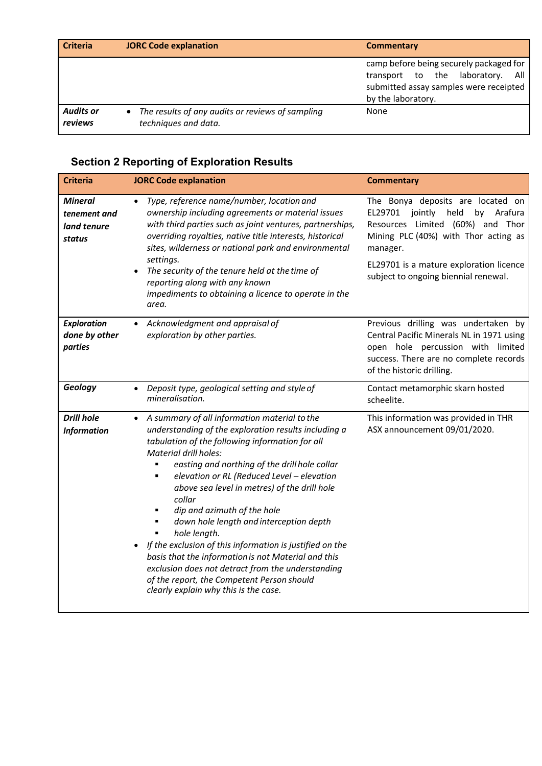| <b>Criteria</b>             | <b>JORC Code explanation</b>                                               | Commentary                                                                                                                                     |
|-----------------------------|----------------------------------------------------------------------------|------------------------------------------------------------------------------------------------------------------------------------------------|
|                             |                                                                            | camp before being securely packaged for<br>transport to the laboratory.<br>All<br>submitted assay samples were receipted<br>by the laboratory. |
| <b>Audits or</b><br>reviews | • The results of any audits or reviews of sampling<br>techniques and data. | None                                                                                                                                           |

# **Section 2 Reporting of Exploration Results**

| <b>Criteria</b>                                         | <b>JORC Code explanation</b>                                                                                                                                                                                                                                                                                                                                                                                                                                                                                                                                                                                                                                                                                                                                         | <b>Commentary</b>                                                                                                                                                                                                                                           |
|---------------------------------------------------------|----------------------------------------------------------------------------------------------------------------------------------------------------------------------------------------------------------------------------------------------------------------------------------------------------------------------------------------------------------------------------------------------------------------------------------------------------------------------------------------------------------------------------------------------------------------------------------------------------------------------------------------------------------------------------------------------------------------------------------------------------------------------|-------------------------------------------------------------------------------------------------------------------------------------------------------------------------------------------------------------------------------------------------------------|
| <b>Mineral</b><br>tenement and<br>land tenure<br>status | Type, reference name/number, location and<br>$\bullet$<br>ownership including agreements or material issues<br>with third parties such as joint ventures, partnerships,<br>overriding royalties, native title interests, historical<br>sites, wilderness or national park and environmental<br>settings.<br>The security of the tenure held at the time of<br>$\bullet$<br>reporting along with any known<br>impediments to obtaining a licence to operate in the<br>area.                                                                                                                                                                                                                                                                                           | The Bonya deposits are located on<br>EL29701<br>jointly<br>held<br>Arafura<br>by<br>Resources Limited (60%) and Thor<br>Mining PLC (40%) with Thor acting as<br>manager.<br>EL29701 is a mature exploration licence<br>subject to ongoing biennial renewal. |
| Exploration<br>done by other<br>parties                 | Acknowledgment and appraisal of<br>exploration by other parties.                                                                                                                                                                                                                                                                                                                                                                                                                                                                                                                                                                                                                                                                                                     | Previous drilling was undertaken by<br>Central Pacific Minerals NL in 1971 using<br>open hole percussion with limited<br>success. There are no complete records<br>of the historic drilling.                                                                |
| Geology                                                 | Deposit type, geological setting and style of<br>$\bullet$<br>mineralisation.                                                                                                                                                                                                                                                                                                                                                                                                                                                                                                                                                                                                                                                                                        | Contact metamorphic skarn hosted<br>scheelite.                                                                                                                                                                                                              |
| <b>Drill hole</b><br><b>Information</b>                 | A summary of all information material to the<br>$\bullet$<br>understanding of the exploration results including a<br>tabulation of the following information for all<br><b>Material drill holes:</b><br>easting and northing of the drill hole collar<br>elevation or RL (Reduced Level - elevation<br>$\blacksquare$<br>above sea level in metres) of the drill hole<br>collar<br>dip and azimuth of the hole<br>٠<br>down hole length and interception depth<br>٠<br>hole length.<br>$\blacksquare$<br>If the exclusion of this information is justified on the<br>basis that the information is not Material and this<br>exclusion does not detract from the understanding<br>of the report, the Competent Person should<br>clearly explain why this is the case. | This information was provided in THR<br>ASX announcement 09/01/2020.                                                                                                                                                                                        |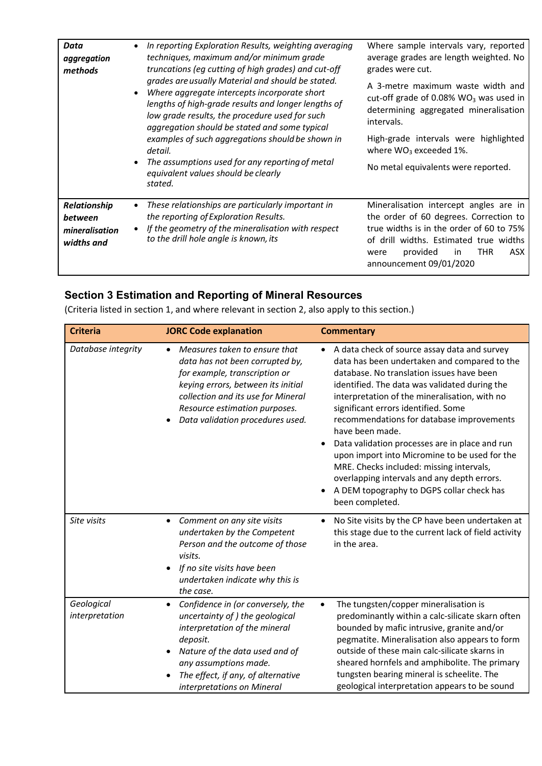| Data<br>aggregation<br>methods                          | $\bullet$ | In reporting Exploration Results, weighting averaging<br>techniques, maximum and/or minimum grade<br>truncations (eg cutting of high grades) and cut-off<br>grades are usually Material and should be stated.<br>Where aggregate intercepts incorporate short<br>lengths of high-grade results and longer lengths of<br>low grade results, the procedure used for such<br>aggregation should be stated and some typical<br>examples of such aggregations should be shown in<br>detail.<br>The assumptions used for any reporting of metal<br>equivalent values should be clearly<br>stated. | Where sample intervals vary, reported<br>average grades are length weighted. No<br>grades were cut.<br>A 3-metre maximum waste width and<br>cut-off grade of 0.08% $WO3$ was used in<br>determining aggregated mineralisation<br>intervals.<br>High-grade intervals were highlighted<br>where $WO_3$ exceeded 1%.<br>No metal equivalents were reported. |
|---------------------------------------------------------|-----------|---------------------------------------------------------------------------------------------------------------------------------------------------------------------------------------------------------------------------------------------------------------------------------------------------------------------------------------------------------------------------------------------------------------------------------------------------------------------------------------------------------------------------------------------------------------------------------------------|----------------------------------------------------------------------------------------------------------------------------------------------------------------------------------------------------------------------------------------------------------------------------------------------------------------------------------------------------------|
| Relationship<br>between<br>mineralisation<br>widths and | $\bullet$ | These relationships are particularly important in<br>the reporting of Exploration Results.<br>If the geometry of the mineralisation with respect<br>to the drill hole angle is known, its                                                                                                                                                                                                                                                                                                                                                                                                   | Mineralisation intercept angles are in<br>the order of 60 degrees. Correction to<br>true widths is in the order of 60 to 75%<br>of drill widths. Estimated true widths<br>provided<br><b>THR</b><br>ASX.<br>in.<br>were<br>announcement 09/01/2020                                                                                                       |

## **Section 3 Estimation and Reporting of Mineral Resources**

(Criteria listed in section 1, and where relevant in section 2, also apply to this section.)

| <b>Criteria</b>              | <b>JORC Code explanation</b>                                                                                                                                                                                                                                  | <b>Commentary</b>                                                                                                                                                                                                                                                                                                                                                                                                                                                                                                                                                                                                |
|------------------------------|---------------------------------------------------------------------------------------------------------------------------------------------------------------------------------------------------------------------------------------------------------------|------------------------------------------------------------------------------------------------------------------------------------------------------------------------------------------------------------------------------------------------------------------------------------------------------------------------------------------------------------------------------------------------------------------------------------------------------------------------------------------------------------------------------------------------------------------------------------------------------------------|
| Database integrity           | Measures taken to ensure that<br>data has not been corrupted by,<br>for example, transcription or<br>keying errors, between its initial<br>collection and its use for Mineral<br>Resource estimation purposes.<br>Data validation procedures used.            | A data check of source assay data and survey<br>data has been undertaken and compared to the<br>database. No translation issues have been<br>identified. The data was validated during the<br>interpretation of the mineralisation, with no<br>significant errors identified. Some<br>recommendations for database improvements<br>have been made.<br>Data validation processes are in place and run<br>upon import into Micromine to be used for the<br>MRE. Checks included: missing intervals,<br>overlapping intervals and any depth errors.<br>A DEM topography to DGPS collar check has<br>been completed. |
| Site visits                  | Comment on any site visits<br>$\bullet$<br>undertaken by the Competent<br>Person and the outcome of those<br>visits.<br>If no site visits have been<br>$\bullet$<br>undertaken indicate why this is<br>the case.                                              | No Site visits by the CP have been undertaken at<br>this stage due to the current lack of field activity<br>in the area.                                                                                                                                                                                                                                                                                                                                                                                                                                                                                         |
| Geological<br>interpretation | Confidence in (or conversely, the<br>$\bullet$<br>uncertainty of ) the geological<br>interpretation of the mineral<br>deposit.<br>Nature of the data used and of<br>any assumptions made.<br>The effect, if any, of alternative<br>interpretations on Mineral | The tungsten/copper mineralisation is<br>$\bullet$<br>predominantly within a calc-silicate skarn often<br>bounded by mafic intrusive, granite and/or<br>pegmatite. Mineralisation also appears to form<br>outside of these main calc-silicate skarns in<br>sheared hornfels and amphibolite. The primary<br>tungsten bearing mineral is scheelite. The<br>geological interpretation appears to be sound                                                                                                                                                                                                          |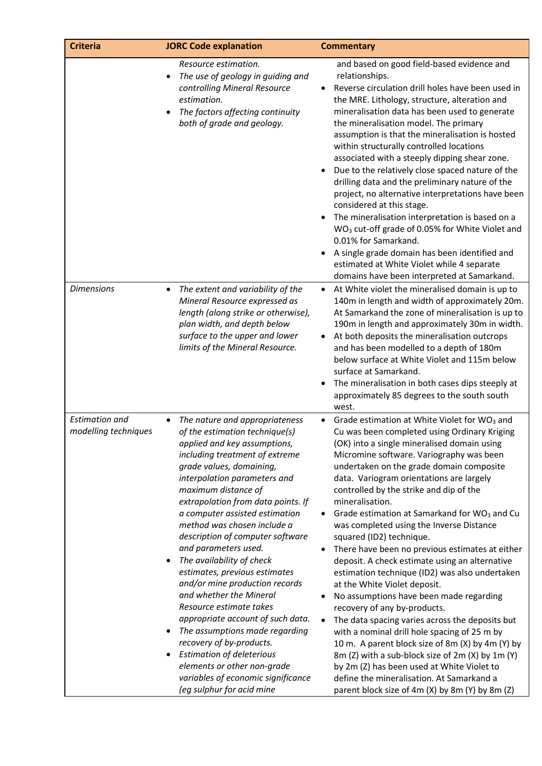| <b>Criteria</b>                               | <b>JORC Code explanation</b>                                                                                                                                                                                                                                                                                                                                                                                                                                                                                                                                                                                                                                                                                                                                                                                      | <b>Commentary</b>                                                                                                                                                                                                                                                                                                                                                                                                                                                                                                                                                                                                                                                                                                                                                                                                                                                                                                                                                                                                                                                                                                                                       |
|-----------------------------------------------|-------------------------------------------------------------------------------------------------------------------------------------------------------------------------------------------------------------------------------------------------------------------------------------------------------------------------------------------------------------------------------------------------------------------------------------------------------------------------------------------------------------------------------------------------------------------------------------------------------------------------------------------------------------------------------------------------------------------------------------------------------------------------------------------------------------------|---------------------------------------------------------------------------------------------------------------------------------------------------------------------------------------------------------------------------------------------------------------------------------------------------------------------------------------------------------------------------------------------------------------------------------------------------------------------------------------------------------------------------------------------------------------------------------------------------------------------------------------------------------------------------------------------------------------------------------------------------------------------------------------------------------------------------------------------------------------------------------------------------------------------------------------------------------------------------------------------------------------------------------------------------------------------------------------------------------------------------------------------------------|
|                                               | Resource estimation.<br>The use of geology in guiding and<br>controlling Mineral Resource<br>estimation.<br>The factors affecting continuity<br>$\bullet$<br>both of grade and geology.                                                                                                                                                                                                                                                                                                                                                                                                                                                                                                                                                                                                                           | and based on good field-based evidence and<br>relationships.<br>Reverse circulation drill holes have been used in<br>the MRE. Lithology, structure, alteration and<br>mineralisation data has been used to generate<br>the mineralisation model. The primary<br>assumption is that the mineralisation is hosted<br>within structurally controlled locations<br>associated with a steeply dipping shear zone.<br>Due to the relatively close spaced nature of the<br>drilling data and the preliminary nature of the<br>project, no alternative interpretations have been<br>considered at this stage.<br>The mineralisation interpretation is based on a<br>WO <sub>3</sub> cut-off grade of 0.05% for White Violet and<br>0.01% for Samarkand.<br>A single grade domain has been identified and<br>estimated at White Violet while 4 separate<br>domains have been interpreted at Samarkand.                                                                                                                                                                                                                                                           |
| <b>Dimensions</b>                             | The extent and variability of the<br>Mineral Resource expressed as<br>length (along strike or otherwise),<br>plan width, and depth below<br>surface to the upper and lower<br>limits of the Mineral Resource.                                                                                                                                                                                                                                                                                                                                                                                                                                                                                                                                                                                                     | At White violet the mineralised domain is up to<br>140m in length and width of approximately 20m.<br>At Samarkand the zone of mineralisation is up to<br>190m in length and approximately 30m in width.<br>At both deposits the mineralisation outcrops<br>$\bullet$<br>and has been modelled to a depth of 180m<br>below surface at White Violet and 115m below<br>surface at Samarkand.<br>The mineralisation in both cases dips steeply at<br>approximately 85 degrees to the south south<br>west.                                                                                                                                                                                                                                                                                                                                                                                                                                                                                                                                                                                                                                                   |
| <b>Estimation and</b><br>modelling techniques | The nature and appropriateness<br>$\bullet$<br>of the estimation technique(s)<br>applied and key assumptions,<br>including treatment of extreme<br>grade values, domaining,<br>interpolation parameters and<br>maximum distance of<br>extrapolation from data points. If<br>a computer assisted estimation<br>method was chosen include a<br>description of computer software<br>and parameters used.<br>The availability of check<br>estimates, previous estimates<br>and/or mine production records<br>and whether the Mineral<br>Resource estimate takes<br>appropriate account of such data.<br>The assumptions made regarding<br>$\bullet$<br>recovery of by-products.<br><b>Estimation of deleterious</b><br>elements or other non-grade<br>variables of economic significance<br>(eg sulphur for acid mine | Grade estimation at White Violet for WO <sub>3</sub> and<br>Cu was been completed using Ordinary Kriging<br>(OK) into a single mineralised domain using<br>Micromine software. Variography was been<br>undertaken on the grade domain composite<br>data. Variogram orientations are largely<br>controlled by the strike and dip of the<br>mineralisation.<br>Grade estimation at Samarkand for WO <sub>3</sub> and Cu<br>was completed using the Inverse Distance<br>squared (ID2) technique.<br>There have been no previous estimates at either<br>٠<br>deposit. A check estimate using an alternative<br>estimation technique (ID2) was also undertaken<br>at the White Violet deposit.<br>No assumptions have been made regarding<br>$\bullet$<br>recovery of any by-products.<br>The data spacing varies across the deposits but<br>$\bullet$<br>with a nominal drill hole spacing of 25 m by<br>10 m. A parent block size of 8m (X) by 4m (Y) by<br>8m (Z) with a sub-block size of 2m (X) by 1m (Y)<br>by 2m (Z) has been used at White Violet to<br>define the mineralisation. At Samarkand a<br>parent block size of 4m (X) by 8m (Y) by 8m (Z) |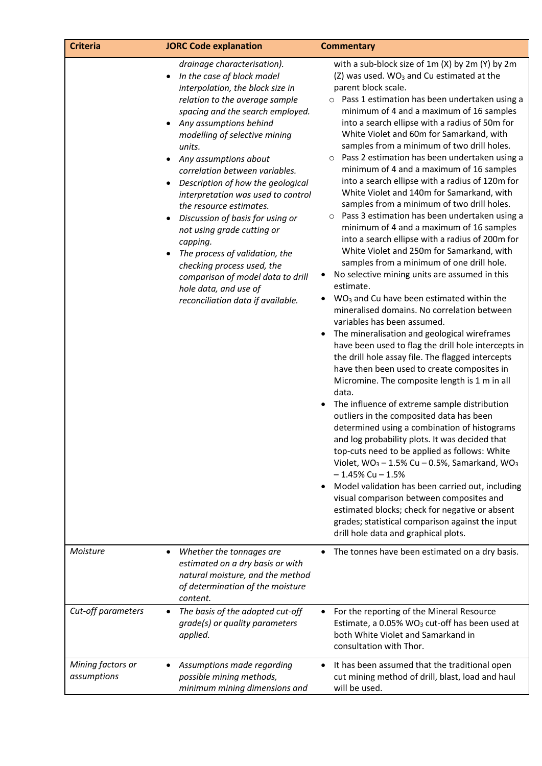| <b>Criteria</b>                  | <b>JORC Code explanation</b>                                                                                                                                                                                                                                                                                                                                                                                                                                                                                                                                                                                                                                                         | <b>Commentary</b>                                                                                                                                                                                                                                                                                                                                                                                                                                                                                                                                                                                                                                                                                                                                                                                                                                                                                                                                                                                                                                                                                                                                                                                                                                                                                                                                                                                                                                                                                                                                                                                                                                                                                                                                                                                                                                                                                                                                          |
|----------------------------------|--------------------------------------------------------------------------------------------------------------------------------------------------------------------------------------------------------------------------------------------------------------------------------------------------------------------------------------------------------------------------------------------------------------------------------------------------------------------------------------------------------------------------------------------------------------------------------------------------------------------------------------------------------------------------------------|------------------------------------------------------------------------------------------------------------------------------------------------------------------------------------------------------------------------------------------------------------------------------------------------------------------------------------------------------------------------------------------------------------------------------------------------------------------------------------------------------------------------------------------------------------------------------------------------------------------------------------------------------------------------------------------------------------------------------------------------------------------------------------------------------------------------------------------------------------------------------------------------------------------------------------------------------------------------------------------------------------------------------------------------------------------------------------------------------------------------------------------------------------------------------------------------------------------------------------------------------------------------------------------------------------------------------------------------------------------------------------------------------------------------------------------------------------------------------------------------------------------------------------------------------------------------------------------------------------------------------------------------------------------------------------------------------------------------------------------------------------------------------------------------------------------------------------------------------------------------------------------------------------------------------------------------------------|
|                                  | drainage characterisation).<br>In the case of block model<br>$\bullet$<br>interpolation, the block size in<br>relation to the average sample<br>spacing and the search employed.<br>Any assumptions behind<br>$\bullet$<br>modelling of selective mining<br>units.<br>Any assumptions about<br>correlation between variables.<br>Description of how the geological<br>interpretation was used to control<br>the resource estimates.<br>Discussion of basis for using or<br>not using grade cutting or<br>capping.<br>The process of validation, the<br>checking process used, the<br>comparison of model data to drill<br>hole data, and use of<br>reconciliation data if available. | with a sub-block size of 1m (X) by 2m (Y) by 2m<br>(Z) was used. WO <sub>3</sub> and Cu estimated at the<br>parent block scale.<br>o Pass 1 estimation has been undertaken using a<br>minimum of 4 and a maximum of 16 samples<br>into a search ellipse with a radius of 50m for<br>White Violet and 60m for Samarkand, with<br>samples from a minimum of two drill holes.<br>Pass 2 estimation has been undertaken using a<br>$\circ$<br>minimum of 4 and a maximum of 16 samples<br>into a search ellipse with a radius of 120m for<br>White Violet and 140m for Samarkand, with<br>samples from a minimum of two drill holes.<br>Pass 3 estimation has been undertaken using a<br>$\circ$<br>minimum of 4 and a maximum of 16 samples<br>into a search ellipse with a radius of 200m for<br>White Violet and 250m for Samarkand, with<br>samples from a minimum of one drill hole.<br>No selective mining units are assumed in this<br>٠<br>estimate.<br>WO <sub>3</sub> and Cu have been estimated within the<br>mineralised domains. No correlation between<br>variables has been assumed.<br>The mineralisation and geological wireframes<br>have been used to flag the drill hole intercepts in<br>the drill hole assay file. The flagged intercepts<br>have then been used to create composites in<br>Micromine. The composite length is 1 m in all<br>data.<br>The influence of extreme sample distribution<br>outliers in the composited data has been<br>determined using a combination of histograms<br>and log probability plots. It was decided that<br>top-cuts need to be applied as follows: White<br>Violet, $WO_3 - 1.5\%$ Cu - 0.5%, Samarkand, WO <sub>3</sub><br>$-1.45\%$ Cu $-1.5\%$<br>Model validation has been carried out, including<br>visual comparison between composites and<br>estimated blocks; check for negative or absent<br>grades; statistical comparison against the input<br>drill hole data and graphical plots. |
| Moisture                         | Whether the tonnages are<br>$\bullet$<br>estimated on a dry basis or with<br>natural moisture, and the method<br>of determination of the moisture<br>content.                                                                                                                                                                                                                                                                                                                                                                                                                                                                                                                        | The tonnes have been estimated on a dry basis.                                                                                                                                                                                                                                                                                                                                                                                                                                                                                                                                                                                                                                                                                                                                                                                                                                                                                                                                                                                                                                                                                                                                                                                                                                                                                                                                                                                                                                                                                                                                                                                                                                                                                                                                                                                                                                                                                                             |
| Cut-off parameters               | The basis of the adopted cut-off<br>grade(s) or quality parameters<br>applied.                                                                                                                                                                                                                                                                                                                                                                                                                                                                                                                                                                                                       | For the reporting of the Mineral Resource<br>$\bullet$<br>Estimate, a 0.05% WO <sub>3</sub> cut-off has been used at<br>both White Violet and Samarkand in<br>consultation with Thor.                                                                                                                                                                                                                                                                                                                                                                                                                                                                                                                                                                                                                                                                                                                                                                                                                                                                                                                                                                                                                                                                                                                                                                                                                                                                                                                                                                                                                                                                                                                                                                                                                                                                                                                                                                      |
| Mining factors or<br>assumptions | Assumptions made regarding<br>possible mining methods,<br>minimum mining dimensions and                                                                                                                                                                                                                                                                                                                                                                                                                                                                                                                                                                                              | It has been assumed that the traditional open<br>٠<br>cut mining method of drill, blast, load and haul<br>will be used.                                                                                                                                                                                                                                                                                                                                                                                                                                                                                                                                                                                                                                                                                                                                                                                                                                                                                                                                                                                                                                                                                                                                                                                                                                                                                                                                                                                                                                                                                                                                                                                                                                                                                                                                                                                                                                    |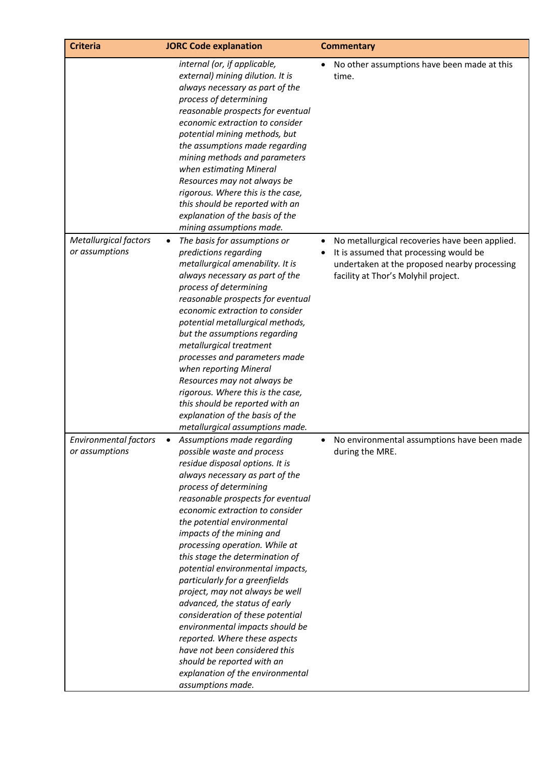| <b>Criteria</b>                                | <b>JORC Code explanation</b>                                                                                                                                                                                                                                                                                                                                                                                                                                                                                                                                                                                                                                                                                                                | <b>Commentary</b>                                                                                                                                                               |
|------------------------------------------------|---------------------------------------------------------------------------------------------------------------------------------------------------------------------------------------------------------------------------------------------------------------------------------------------------------------------------------------------------------------------------------------------------------------------------------------------------------------------------------------------------------------------------------------------------------------------------------------------------------------------------------------------------------------------------------------------------------------------------------------------|---------------------------------------------------------------------------------------------------------------------------------------------------------------------------------|
|                                                | internal (or, if applicable,<br>external) mining dilution. It is<br>always necessary as part of the<br>process of determining<br>reasonable prospects for eventual<br>economic extraction to consider<br>potential mining methods, but<br>the assumptions made regarding<br>mining methods and parameters<br>when estimating Mineral<br>Resources may not always be<br>rigorous. Where this is the case,<br>this should be reported with an<br>explanation of the basis of the<br>mining assumptions made.                                                                                                                                                                                                                                  | No other assumptions have been made at this<br>time.                                                                                                                            |
| <b>Metallurgical factors</b><br>or assumptions | The basis for assumptions or<br>$\bullet$<br>predictions regarding<br>metallurgical amenability. It is<br>always necessary as part of the<br>process of determining<br>reasonable prospects for eventual<br>economic extraction to consider<br>potential metallurgical methods,<br>but the assumptions regarding<br>metallurgical treatment<br>processes and parameters made<br>when reporting Mineral<br>Resources may not always be<br>rigorous. Where this is the case,<br>this should be reported with an<br>explanation of the basis of the<br>metallurgical assumptions made.                                                                                                                                                         | No metallurgical recoveries have been applied.<br>It is assumed that processing would be<br>undertaken at the proposed nearby processing<br>facility at Thor's Molyhil project. |
| <b>Environmental factors</b><br>or assumptions | Assumptions made regarding<br>possible waste and process<br>residue disposal options. It is<br>always necessary as part of the<br>process of determining<br>reasonable prospects for eventual<br>economic extraction to consider<br>the potential environmental<br>impacts of the mining and<br>processing operation. While at<br>this stage the determination of<br>potential environmental impacts,<br>particularly for a greenfields<br>project, may not always be well<br>advanced, the status of early<br>consideration of these potential<br>environmental impacts should be<br>reported. Where these aspects<br>have not been considered this<br>should be reported with an<br>explanation of the environmental<br>assumptions made. | No environmental assumptions have been made<br>during the MRE.                                                                                                                  |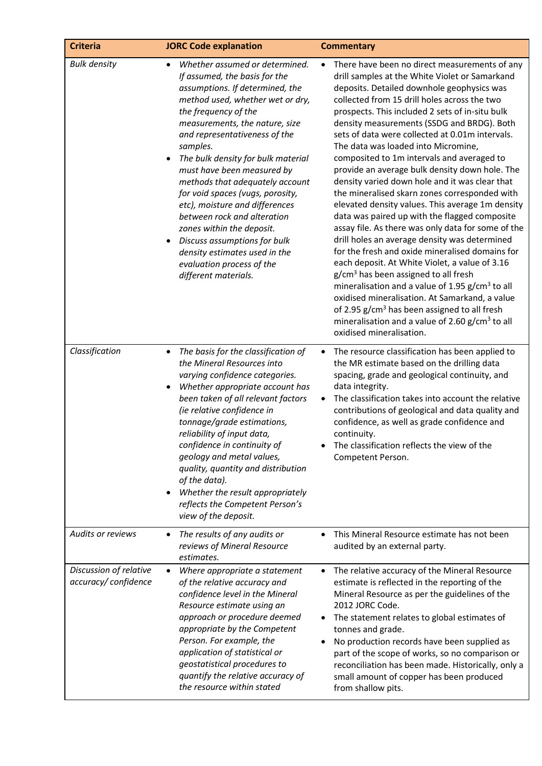| <b>Criteria</b>                               | <b>JORC Code explanation</b>                                                                                                                                                                                                                                                                                                                                                                                                                                                                                                                                                                                                           | <b>Commentary</b>                                                                                                                                                                                                                                                                                                                                                                                                                                                                                                                                                                                                                                                                                                                                                                                                                                                                                                                                                                                                                                                                                                                                                                                                                        |
|-----------------------------------------------|----------------------------------------------------------------------------------------------------------------------------------------------------------------------------------------------------------------------------------------------------------------------------------------------------------------------------------------------------------------------------------------------------------------------------------------------------------------------------------------------------------------------------------------------------------------------------------------------------------------------------------------|------------------------------------------------------------------------------------------------------------------------------------------------------------------------------------------------------------------------------------------------------------------------------------------------------------------------------------------------------------------------------------------------------------------------------------------------------------------------------------------------------------------------------------------------------------------------------------------------------------------------------------------------------------------------------------------------------------------------------------------------------------------------------------------------------------------------------------------------------------------------------------------------------------------------------------------------------------------------------------------------------------------------------------------------------------------------------------------------------------------------------------------------------------------------------------------------------------------------------------------|
| <b>Bulk density</b>                           | Whether assumed or determined.<br>$\bullet$<br>If assumed, the basis for the<br>assumptions. If determined, the<br>method used, whether wet or dry,<br>the frequency of the<br>measurements, the nature, size<br>and representativeness of the<br>samples.<br>The bulk density for bulk material<br>must have been measured by<br>methods that adequately account<br>for void spaces (vugs, porosity,<br>etc), moisture and differences<br>between rock and alteration<br>zones within the deposit.<br>Discuss assumptions for bulk<br>$\bullet$<br>density estimates used in the<br>evaluation process of the<br>different materials. | There have been no direct measurements of any<br>drill samples at the White Violet or Samarkand<br>deposits. Detailed downhole geophysics was<br>collected from 15 drill holes across the two<br>prospects. This included 2 sets of in-situ bulk<br>density measurements (SSDG and BRDG). Both<br>sets of data were collected at 0.01m intervals.<br>The data was loaded into Micromine,<br>composited to 1m intervals and averaged to<br>provide an average bulk density down hole. The<br>density varied down hole and it was clear that<br>the mineralised skarn zones corresponded with<br>elevated density values. This average 1m density<br>data was paired up with the flagged composite<br>assay file. As there was only data for some of the<br>drill holes an average density was determined<br>for the fresh and oxide mineralised domains for<br>each deposit. At White Violet, a value of 3.16<br>g/cm <sup>3</sup> has been assigned to all fresh<br>mineralisation and a value of 1.95 g/cm <sup>3</sup> to all<br>oxidised mineralisation. At Samarkand, a value<br>of 2.95 g/cm <sup>3</sup> has been assigned to all fresh<br>mineralisation and a value of 2.60 g/cm <sup>3</sup> to all<br>oxidised mineralisation. |
| Classification                                | The basis for the classification of<br>$\bullet$<br>the Mineral Resources into<br>varying confidence categories.<br>Whether appropriate account has<br>been taken of all relevant factors<br>(ie relative confidence in<br>tonnage/grade estimations,<br>reliability of input data,<br>confidence in continuity of<br>geology and metal values,<br>quality, quantity and distribution<br>of the data).<br>Whether the result appropriately<br>$\bullet$<br>reflects the Competent Person's<br>view of the deposit.                                                                                                                     | The resource classification has been applied to<br>$\bullet$<br>the MR estimate based on the drilling data<br>spacing, grade and geological continuity, and<br>data integrity.<br>The classification takes into account the relative<br>$\bullet$<br>contributions of geological and data quality and<br>confidence, as well as grade confidence and<br>continuity.<br>The classification reflects the view of the<br>Competent Person.                                                                                                                                                                                                                                                                                                                                                                                                                                                                                                                                                                                                                                                                                                                                                                                                  |
| <b>Audits or reviews</b>                      | The results of any audits or<br>$\bullet$<br>reviews of Mineral Resource<br>estimates.                                                                                                                                                                                                                                                                                                                                                                                                                                                                                                                                                 | This Mineral Resource estimate has not been<br>audited by an external party.                                                                                                                                                                                                                                                                                                                                                                                                                                                                                                                                                                                                                                                                                                                                                                                                                                                                                                                                                                                                                                                                                                                                                             |
| Discussion of relative<br>accuracy/confidence | Where appropriate a statement<br>$\bullet$<br>of the relative accuracy and<br>confidence level in the Mineral<br>Resource estimate using an<br>approach or procedure deemed<br>appropriate by the Competent<br>Person. For example, the<br>application of statistical or<br>geostatistical procedures to<br>quantify the relative accuracy of<br>the resource within stated                                                                                                                                                                                                                                                            | The relative accuracy of the Mineral Resource<br>$\bullet$<br>estimate is reflected in the reporting of the<br>Mineral Resource as per the guidelines of the<br>2012 JORC Code.<br>The statement relates to global estimates of<br>tonnes and grade.<br>No production records have been supplied as<br>part of the scope of works, so no comparison or<br>reconciliation has been made. Historically, only a<br>small amount of copper has been produced<br>from shallow pits.                                                                                                                                                                                                                                                                                                                                                                                                                                                                                                                                                                                                                                                                                                                                                           |